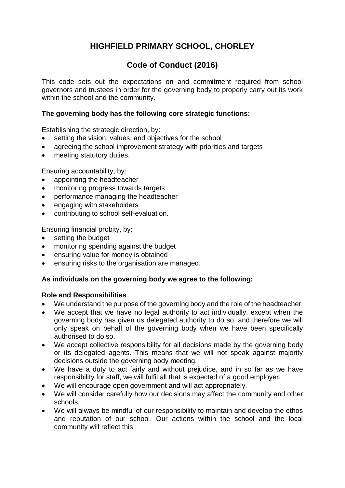# **HIGHFIELD PRIMARY SCHOOL, CHORLEY**

## **Code of Conduct (2016)**

This code sets out the expectations on and commitment required from school governors and trustees in order for the governing body to properly carry out its work within the school and the community.

#### **The governing body has the following core strategic functions:**

Establishing the strategic direction, by:

- setting the vision, values, and objectives for the school
- agreeing the school improvement strategy with priorities and targets
- meeting statutory duties.

Ensuring accountability, by:

- appointing the headteacher
- monitoring progress towards targets
- performance managing the headteacher
- engaging with stakeholders
- contributing to school self-evaluation.

Ensuring financial probity, by:

- setting the budget
- monitoring spending against the budget
- ensuring value for money is obtained
- ensuring risks to the organisation are managed.

#### **As individuals on the governing body we agree to the following:**

#### **Role and Responsibilities**

- We understand the purpose of the governing body and the role of the headteacher.
- We accept that we have no legal authority to act individually, except when the governing body has given us delegated authority to do so, and therefore we will only speak on behalf of the governing body when we have been specifically authorised to do so.
- We accept collective responsibility for all decisions made by the governing body or its delegated agents. This means that we will not speak against majority decisions outside the governing body meeting.
- We have a duty to act fairly and without prejudice, and in so far as we have responsibility for staff, we will fulfil all that is expected of a good employer.
- We will encourage open government and will act appropriately.
- We will consider carefully how our decisions may affect the community and other schools.
- We will always be mindful of our responsibility to maintain and develop the ethos and reputation of our school. Our actions within the school and the local community will reflect this.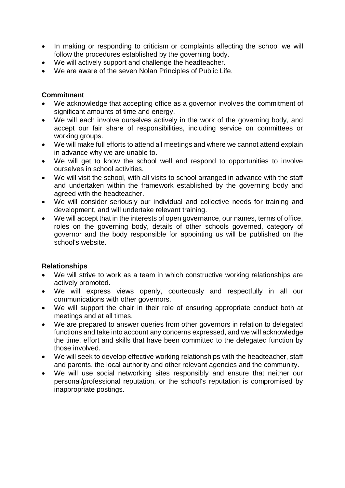- In making or responding to criticism or complaints affecting the school we will follow the procedures established by the governing body.
- We will actively support and challenge the headteacher.
- We are aware of the seven Nolan Principles of Public Life.

## **Commitment**

- We acknowledge that accepting office as a governor involves the commitment of significant amounts of time and energy.
- We will each involve ourselves actively in the work of the governing body, and accept our fair share of responsibilities, including service on committees or working groups.
- We will make full efforts to attend all meetings and where we cannot attend explain in advance why we are unable to.
- We will get to know the school well and respond to opportunities to involve ourselves in school activities.
- We will visit the school, with all visits to school arranged in advance with the staff and undertaken within the framework established by the governing body and agreed with the headteacher.
- We will consider seriously our individual and collective needs for training and development, and will undertake relevant training.
- We will accept that in the interests of open governance, our names, terms of office, roles on the governing body, details of other schools governed, category of governor and the body responsible for appointing us will be published on the school's website.

#### **Relationships**

- We will strive to work as a team in which constructive working relationships are actively promoted.
- We will express views openly, courteously and respectfully in all our communications with other governors.
- We will support the chair in their role of ensuring appropriate conduct both at meetings and at all times.
- We are prepared to answer queries from other governors in relation to delegated functions and take into account any concerns expressed, and we will acknowledge the time, effort and skills that have been committed to the delegated function by those involved.
- We will seek to develop effective working relationships with the headteacher, staff and parents, the local authority and other relevant agencies and the community.
- We will use social networking sites responsibly and ensure that neither our personal/professional reputation, or the school's reputation is compromised by inappropriate postings.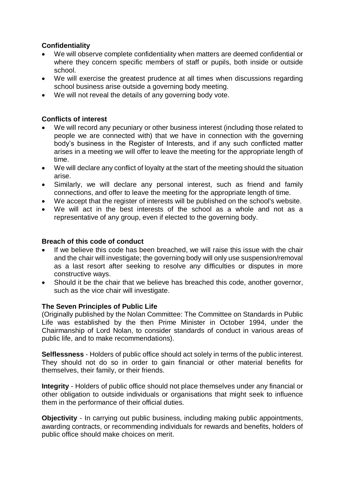## **Confidentiality**

- We will observe complete confidentiality when matters are deemed confidential or where they concern specific members of staff or pupils, both inside or outside school.
- We will exercise the greatest prudence at all times when discussions regarding school business arise outside a governing body meeting.
- We will not reveal the details of any governing body vote.

## **Conflicts of interest**

- We will record any pecuniary or other business interest (including those related to people we are connected with) that we have in connection with the governing body's business in the Register of Interests, and if any such conflicted matter arises in a meeting we will offer to leave the meeting for the appropriate length of time.
- We will declare any conflict of loyalty at the start of the meeting should the situation arise.
- Similarly, we will declare any personal interest, such as friend and family connections, and offer to leave the meeting for the appropriate length of time.
- We accept that the register of interests will be published on the school's website.
- We will act in the best interests of the school as a whole and not as a representative of any group, even if elected to the governing body.

#### **Breach of this code of conduct**

- If we believe this code has been breached, we will raise this issue with the chair and the chair will investigate; the governing body will only use suspension/removal as a last resort after seeking to resolve any difficulties or disputes in more constructive ways.
- Should it be the chair that we believe has breached this code, another governor, such as the vice chair will investigate.

#### **The Seven Principles of Public Life**

(Originally published by the Nolan Committee: The Committee on Standards in Public Life was established by the then Prime Minister in October 1994, under the Chairmanship of Lord Nolan, to consider standards of conduct in various areas of public life, and to make recommendations).

**Selflessness** - Holders of public office should act solely in terms of the public interest. They should not do so in order to gain financial or other material benefits for themselves, their family, or their friends.

**Integrity** - Holders of public office should not place themselves under any financial or other obligation to outside individuals or organisations that might seek to influence them in the performance of their official duties.

**Objectivity** - In carrying out public business, including making public appointments, awarding contracts, or recommending individuals for rewards and benefits, holders of public office should make choices on merit.